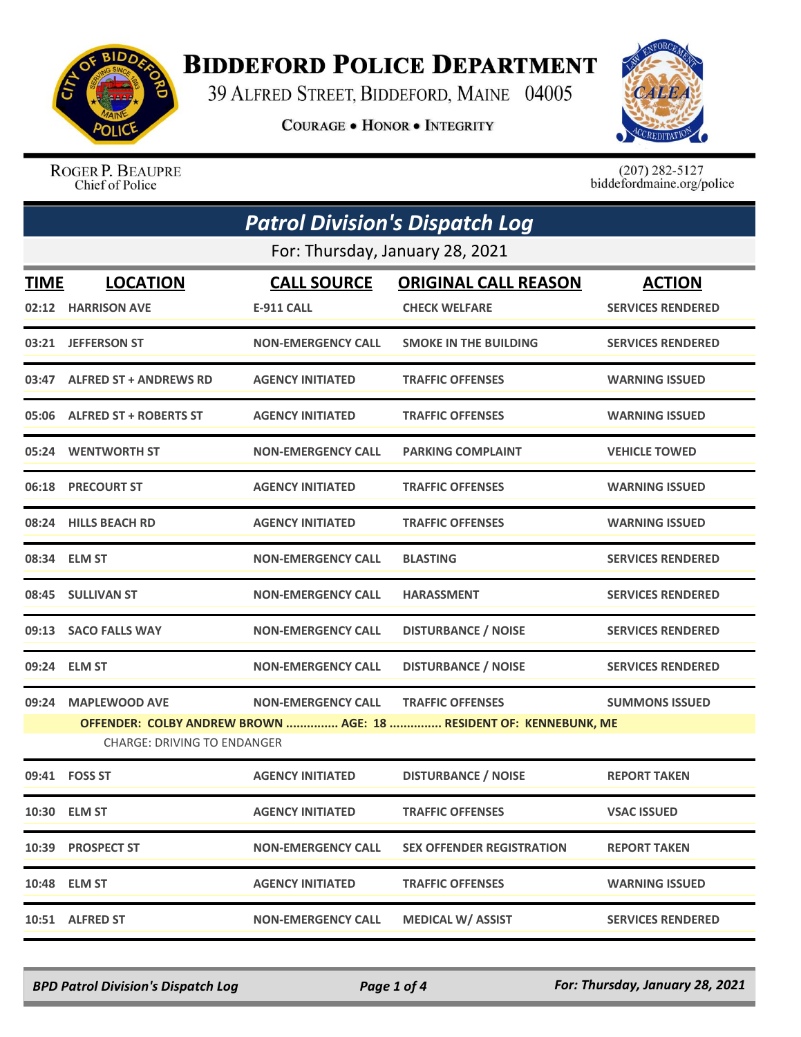

## **BIDDEFORD POLICE DEPARTMENT**

39 ALFRED STREET, BIDDEFORD, MAINE 04005

**COURAGE . HONOR . INTEGRITY** 



ROGER P. BEAUPRE Chief of Police

 $(207)$  282-5127<br>biddefordmaine.org/police

| <b>Patrol Division's Dispatch Log</b> |                                                                                                         |                           |                                  |                          |  |  |
|---------------------------------------|---------------------------------------------------------------------------------------------------------|---------------------------|----------------------------------|--------------------------|--|--|
| For: Thursday, January 28, 2021       |                                                                                                         |                           |                                  |                          |  |  |
| <b>TIME</b>                           | <b>LOCATION</b>                                                                                         | <b>CALL SOURCE</b>        | <b>ORIGINAL CALL REASON</b>      | <b>ACTION</b>            |  |  |
|                                       | 02:12 HARRISON AVE                                                                                      | E-911 CALL                | <b>CHECK WELFARE</b>             | <b>SERVICES RENDERED</b> |  |  |
|                                       | 03:21 JEFFERSON ST                                                                                      | <b>NON-EMERGENCY CALL</b> | <b>SMOKE IN THE BUILDING</b>     | <b>SERVICES RENDERED</b> |  |  |
|                                       | 03:47 ALFRED ST + ANDREWS RD                                                                            | <b>AGENCY INITIATED</b>   | <b>TRAFFIC OFFENSES</b>          | <b>WARNING ISSUED</b>    |  |  |
|                                       | 05:06 ALFRED ST + ROBERTS ST                                                                            | <b>AGENCY INITIATED</b>   | <b>TRAFFIC OFFENSES</b>          | <b>WARNING ISSUED</b>    |  |  |
|                                       | 05:24 WENTWORTH ST                                                                                      | <b>NON-EMERGENCY CALL</b> | <b>PARKING COMPLAINT</b>         | <b>VEHICLE TOWED</b>     |  |  |
|                                       | 06:18 PRECOURT ST                                                                                       | <b>AGENCY INITIATED</b>   | <b>TRAFFIC OFFENSES</b>          | <b>WARNING ISSUED</b>    |  |  |
|                                       | 08:24 HILLS BEACH RD                                                                                    | <b>AGENCY INITIATED</b>   | <b>TRAFFIC OFFENSES</b>          | <b>WARNING ISSUED</b>    |  |  |
|                                       | 08:34 ELM ST                                                                                            | <b>NON-EMERGENCY CALL</b> | <b>BLASTING</b>                  | <b>SERVICES RENDERED</b> |  |  |
|                                       | 08:45 SULLIVAN ST                                                                                       | <b>NON-EMERGENCY CALL</b> | <b>HARASSMENT</b>                | <b>SERVICES RENDERED</b> |  |  |
|                                       | 09:13 SACO FALLS WAY                                                                                    | <b>NON-EMERGENCY CALL</b> | <b>DISTURBANCE / NOISE</b>       | <b>SERVICES RENDERED</b> |  |  |
|                                       | 09:24 ELM ST                                                                                            | <b>NON-EMERGENCY CALL</b> | <b>DISTURBANCE / NOISE</b>       | <b>SERVICES RENDERED</b> |  |  |
| 09:24                                 | <b>MAPLEWOOD AVE</b>                                                                                    | <b>NON-EMERGENCY CALL</b> | <b>TRAFFIC OFFENSES</b>          | <b>SUMMONS ISSUED</b>    |  |  |
|                                       | OFFENDER: COLBY ANDREW BROWN  AGE: 18  RESIDENT OF: KENNEBUNK, ME<br><b>CHARGE: DRIVING TO ENDANGER</b> |                           |                                  |                          |  |  |
|                                       | 09:41    FOSS ST                                                                                        | <b>AGENCY INITIATED</b>   | <b>DISTURBANCE / NOISE</b>       | <b>REPORT TAKEN</b>      |  |  |
|                                       | 10:30 ELM ST                                                                                            | <b>AGENCY INITIATED</b>   | <b>TRAFFIC OFFENSES</b>          | <b>VSAC ISSUED</b>       |  |  |
|                                       | 10:39 PROSPECT ST                                                                                       | <b>NON-EMERGENCY CALL</b> | <b>SEX OFFENDER REGISTRATION</b> | <b>REPORT TAKEN</b>      |  |  |
|                                       | 10:48 ELM ST                                                                                            | <b>AGENCY INITIATED</b>   | <b>TRAFFIC OFFENSES</b>          | <b>WARNING ISSUED</b>    |  |  |
|                                       | 10:51 ALFRED ST                                                                                         | <b>NON-EMERGENCY CALL</b> | <b>MEDICAL W/ ASSIST</b>         | <b>SERVICES RENDERED</b> |  |  |

*BPD Patrol Division's Dispatch Log Page 1 of 4 For: Thursday, January 28, 2021*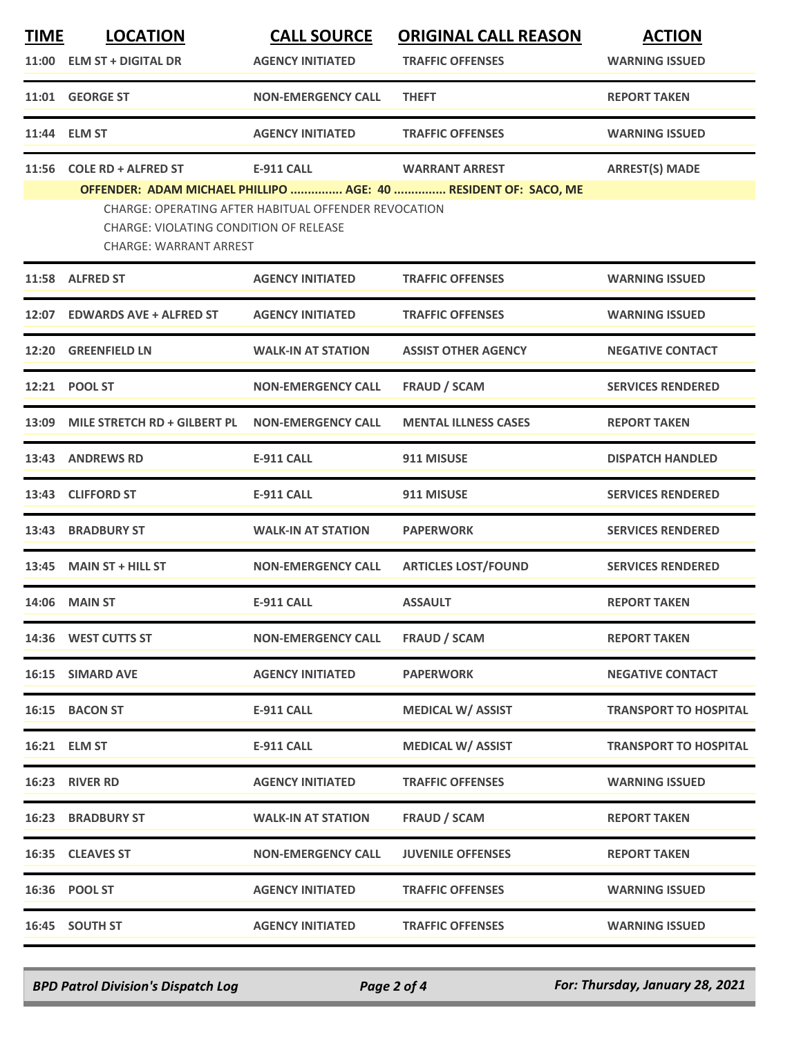| <u>TIME</u> | <b>LOCATION</b>                        | <b>CALL SOURCE</b>                                   | <b>ORIGINAL CALL REASON</b>                                     | <b>ACTION</b>                |
|-------------|----------------------------------------|------------------------------------------------------|-----------------------------------------------------------------|------------------------------|
|             | 11:00 ELM ST + DIGITAL DR              | <b>AGENCY INITIATED</b>                              | <b>TRAFFIC OFFENSES</b>                                         | <b>WARNING ISSUED</b>        |
|             | 11:01 GEORGE ST                        | <b>NON-EMERGENCY CALL</b>                            | <b>THEFT</b>                                                    | <b>REPORT TAKEN</b>          |
| 11:44       | <b>ELM ST</b>                          | <b>AGENCY INITIATED</b>                              | <b>TRAFFIC OFFENSES</b>                                         | <b>WARNING ISSUED</b>        |
| 11:56       | <b>COLE RD + ALFRED ST</b>             | <b>E-911 CALL</b>                                    | <b>WARRANT ARREST</b>                                           | <b>ARREST(S) MADE</b>        |
|             |                                        |                                                      | OFFENDER: ADAM MICHAEL PHILLIPO  AGE: 40  RESIDENT OF: SACO, ME |                              |
|             | CHARGE: VIOLATING CONDITION OF RELEASE | CHARGE: OPERATING AFTER HABITUAL OFFENDER REVOCATION |                                                                 |                              |
|             | <b>CHARGE: WARRANT ARREST</b>          |                                                      |                                                                 |                              |
| 11:58       | <b>ALFRED ST</b>                       | <b>AGENCY INITIATED</b>                              | <b>TRAFFIC OFFENSES</b>                                         | <b>WARNING ISSUED</b>        |
| 12:07       | <b>EDWARDS AVE + ALFRED ST</b>         | <b>AGENCY INITIATED</b>                              | <b>TRAFFIC OFFENSES</b>                                         | <b>WARNING ISSUED</b>        |
| 12:20       | <b>GREENFIELD LN</b>                   | <b>WALK-IN AT STATION</b>                            | <b>ASSIST OTHER AGENCY</b>                                      | <b>NEGATIVE CONTACT</b>      |
| 12:21       | <b>POOL ST</b>                         | <b>NON-EMERGENCY CALL</b>                            | <b>FRAUD / SCAM</b>                                             | <b>SERVICES RENDERED</b>     |
| 13:09       | MILE STRETCH RD + GILBERT PL           | <b>NON-EMERGENCY CALL</b>                            | <b>MENTAL ILLNESS CASES</b>                                     | <b>REPORT TAKEN</b>          |
| 13:43       | <b>ANDREWS RD</b>                      | <b>E-911 CALL</b>                                    | 911 MISUSE                                                      | <b>DISPATCH HANDLED</b>      |
| 13:43       | <b>CLIFFORD ST</b>                     | <b>E-911 CALL</b>                                    | 911 MISUSE                                                      | <b>SERVICES RENDERED</b>     |
| 13:43       | <b>BRADBURY ST</b>                     | <b>WALK-IN AT STATION</b>                            | <b>PAPERWORK</b>                                                | <b>SERVICES RENDERED</b>     |
| 13:45       | <b>MAIN ST + HILL ST</b>               | <b>NON-EMERGENCY CALL</b>                            | <b>ARTICLES LOST/FOUND</b>                                      | <b>SERVICES RENDERED</b>     |
| 14:06       | <b>MAIN ST</b>                         | <b>E-911 CALL</b>                                    | <b>ASSAULT</b>                                                  | <b>REPORT TAKEN</b>          |
|             | 14:36 WEST CUTTS ST                    | <b>NON-EMERGENCY CALL</b>                            | <b>FRAUD / SCAM</b>                                             | <b>REPORT TAKEN</b>          |
|             | 16:15 SIMARD AVE                       | <b>AGENCY INITIATED</b>                              | <b>PAPERWORK</b>                                                | <b>NEGATIVE CONTACT</b>      |
|             | 16:15 BACON ST                         | <b>E-911 CALL</b>                                    | <b>MEDICAL W/ ASSIST</b>                                        | <b>TRANSPORT TO HOSPITAL</b> |
|             | 16:21 ELM ST                           | <b>E-911 CALL</b>                                    | <b>MEDICAL W/ ASSIST</b>                                        | <b>TRANSPORT TO HOSPITAL</b> |
|             | 16:23 RIVER RD                         | <b>AGENCY INITIATED</b>                              | <b>TRAFFIC OFFENSES</b>                                         | <b>WARNING ISSUED</b>        |
|             | <b>16:23 BRADBURY ST</b>               | <b>WALK-IN AT STATION</b>                            | <b>FRAUD / SCAM</b>                                             | <b>REPORT TAKEN</b>          |
|             | 16:35 CLEAVES ST                       | <b>NON-EMERGENCY CALL</b>                            | <b>JUVENILE OFFENSES</b>                                        | <b>REPORT TAKEN</b>          |
|             | 16:36 POOL ST                          | <b>AGENCY INITIATED</b>                              | <b>TRAFFIC OFFENSES</b>                                         | <b>WARNING ISSUED</b>        |
|             | 16:45 SOUTH ST                         | <b>AGENCY INITIATED</b>                              | <b>TRAFFIC OFFENSES</b>                                         | <b>WARNING ISSUED</b>        |

*BPD Patrol Division's Dispatch Log Page 2 of 4 For: Thursday, January 28, 2021*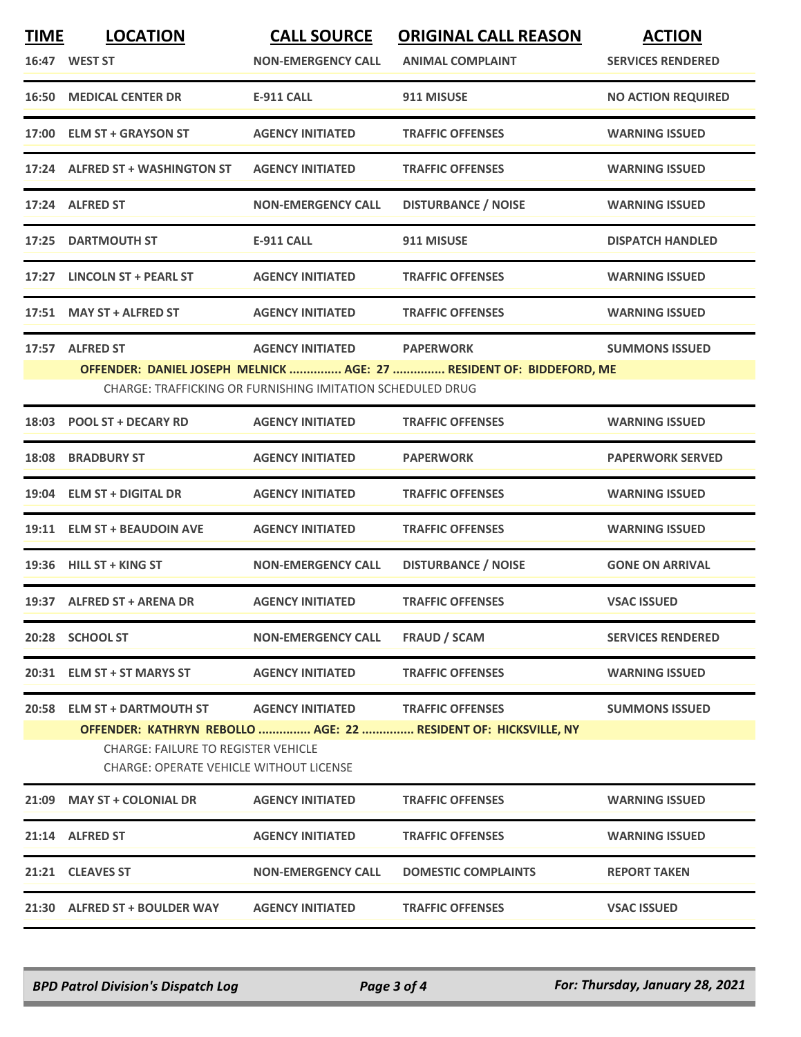| <b>TIME</b> | <b>LOCATION</b><br>16:47 WEST ST                                                             | <b>CALL SOURCE</b><br><b>NON-EMERGENCY CALL</b>            | <b>ORIGINAL CALL REASON</b><br><b>ANIMAL COMPLAINT</b>                                     | <b>ACTION</b><br><b>SERVICES RENDERED</b> |
|-------------|----------------------------------------------------------------------------------------------|------------------------------------------------------------|--------------------------------------------------------------------------------------------|-------------------------------------------|
|             | <b>16:50 MEDICAL CENTER DR</b>                                                               | <b>E-911 CALL</b>                                          | 911 MISUSE                                                                                 | <b>NO ACTION REQUIRED</b>                 |
|             | 17:00 ELM ST + GRAYSON ST                                                                    | <b>AGENCY INITIATED</b>                                    | <b>TRAFFIC OFFENSES</b>                                                                    | <b>WARNING ISSUED</b>                     |
|             | 17:24 ALFRED ST + WASHINGTON ST                                                              | <b>AGENCY INITIATED</b>                                    | <b>TRAFFIC OFFENSES</b>                                                                    | <b>WARNING ISSUED</b>                     |
|             | 17:24 ALFRED ST                                                                              | <b>NON-EMERGENCY CALL</b>                                  | <b>DISTURBANCE / NOISE</b>                                                                 | <b>WARNING ISSUED</b>                     |
|             | 17:25 DARTMOUTH ST                                                                           | <b>E-911 CALL</b>                                          | 911 MISUSE                                                                                 | <b>DISPATCH HANDLED</b>                   |
| 17:27       | <b>LINCOLN ST + PEARL ST</b>                                                                 | <b>AGENCY INITIATED</b>                                    | <b>TRAFFIC OFFENSES</b>                                                                    | <b>WARNING ISSUED</b>                     |
|             | 17:51 MAY ST + ALFRED ST                                                                     | <b>AGENCY INITIATED</b>                                    | <b>TRAFFIC OFFENSES</b>                                                                    | <b>WARNING ISSUED</b>                     |
|             | 17:57 ALFRED ST                                                                              | <b>AGENCY INITIATED</b>                                    | <b>PAPERWORK</b>                                                                           | <b>SUMMONS ISSUED</b>                     |
|             |                                                                                              | CHARGE: TRAFFICKING OR FURNISHING IMITATION SCHEDULED DRUG | OFFENDER: DANIEL JOSEPH MELNICK  AGE: 27  RESIDENT OF: BIDDEFORD, ME                       |                                           |
|             |                                                                                              |                                                            |                                                                                            |                                           |
|             | 18:03 POOL ST + DECARY RD                                                                    | <b>AGENCY INITIATED</b>                                    | <b>TRAFFIC OFFENSES</b>                                                                    | <b>WARNING ISSUED</b>                     |
| 18:08       | <b>BRADBURY ST</b>                                                                           | <b>AGENCY INITIATED</b>                                    | <b>PAPERWORK</b>                                                                           | <b>PAPERWORK SERVED</b>                   |
|             | 19:04 ELM ST + DIGITAL DR                                                                    | <b>AGENCY INITIATED</b>                                    | <b>TRAFFIC OFFENSES</b>                                                                    | <b>WARNING ISSUED</b>                     |
|             | 19:11 ELM ST + BEAUDOIN AVE                                                                  | <b>AGENCY INITIATED</b>                                    | <b>TRAFFIC OFFENSES</b>                                                                    | <b>WARNING ISSUED</b>                     |
|             | 19:36 HILL ST + KING ST                                                                      | <b>NON-EMERGENCY CALL</b>                                  | <b>DISTURBANCE / NOISE</b>                                                                 | <b>GONE ON ARRIVAL</b>                    |
|             | 19:37 ALFRED ST + ARENA DR                                                                   | <b>AGENCY INITIATED</b>                                    | <b>TRAFFIC OFFENSES</b>                                                                    | <b>VSAC ISSUED</b>                        |
|             | 20:28 SCHOOL ST                                                                              | <b>NON-EMERGENCY CALL</b>                                  | FRAUD / SCAM                                                                               | <b>SERVICES RENDERED</b>                  |
|             | 20:31 ELM ST + ST MARYS ST                                                                   | <b>AGENCY INITIATED</b>                                    | <b>TRAFFIC OFFENSES</b>                                                                    | <b>WARNING ISSUED</b>                     |
|             | 20:58 ELM ST + DARTMOUTH ST                                                                  | <b>AGENCY INITIATED</b>                                    | <b>TRAFFIC OFFENSES</b><br>OFFENDER: KATHRYN REBOLLO  AGE: 22  RESIDENT OF: HICKSVILLE, NY | <b>SUMMONS ISSUED</b>                     |
|             | <b>CHARGE: FAILURE TO REGISTER VEHICLE</b><br><b>CHARGE: OPERATE VEHICLE WITHOUT LICENSE</b> |                                                            |                                                                                            |                                           |
|             | 21:09 MAY ST + COLONIAL DR                                                                   | <b>AGENCY INITIATED</b>                                    | <b>TRAFFIC OFFENSES</b>                                                                    | <b>WARNING ISSUED</b>                     |
|             | 21:14 ALFRED ST                                                                              | <b>AGENCY INITIATED</b>                                    | <b>TRAFFIC OFFENSES</b>                                                                    | <b>WARNING ISSUED</b>                     |
|             | 21:21 CLEAVES ST                                                                             | <b>NON-EMERGENCY CALL</b>                                  | <b>DOMESTIC COMPLAINTS</b>                                                                 | <b>REPORT TAKEN</b>                       |
|             | 21:30 ALFRED ST + BOULDER WAY                                                                | <b>AGENCY INITIATED</b>                                    | <b>TRAFFIC OFFENSES</b>                                                                    | <b>VSAC ISSUED</b>                        |